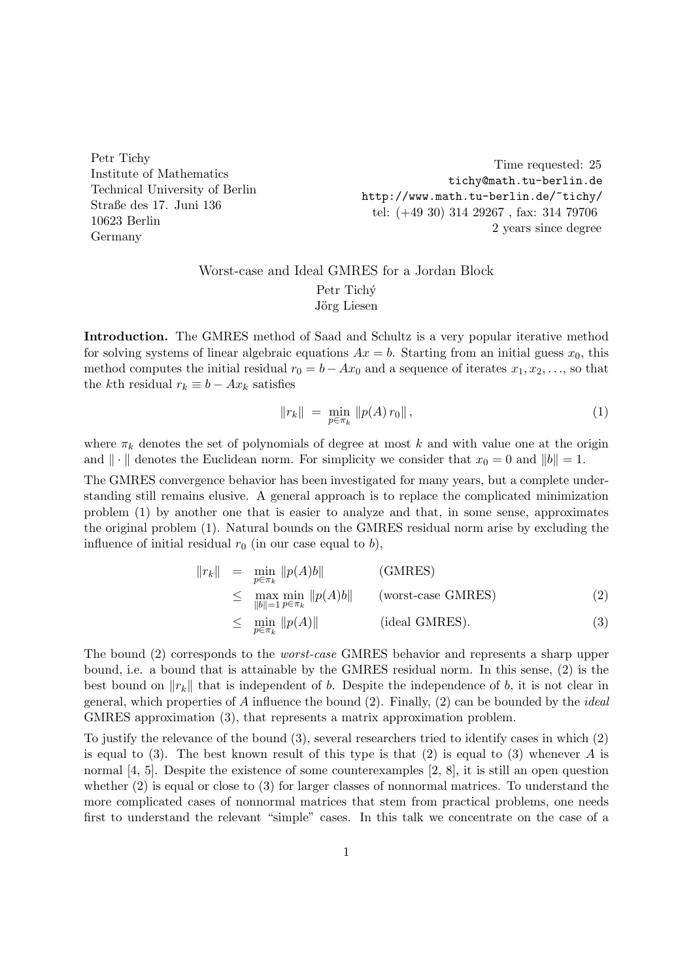Petr Tichy Institute of Mathematics Technical University of Berlin Straße des 17. Juni 136 10623 Berlin Germany

Time requested: 25 tichy@math.tu-berlin.de http://www.math.tu-berlin.de/~tichy/ tel: (+49 30) 314 29267 , fax: 314 79706 2 years since degree

## Worst-case and Ideal GMRES for a Jordan Block Petr Tichý Jörg Liesen

Introduction. The GMRES method of Saad and Schultz is a very popular iterative method for solving systems of linear algebraic equations  $Ax = b$ . Starting from an initial guess  $x_0$ , this method computes the initial residual  $r_0 = b - Ax_0$  and a sequence of iterates  $x_1, x_2, \ldots$ , so that the kth residual  $r_k \equiv b - Ax_k$  satisfies

$$
||r_k|| = \min_{p \in \pi_k} ||p(A) r_0||, \qquad (1)
$$

where  $\pi_k$  denotes the set of polynomials of degree at most k and with value one at the origin and  $\|\cdot\|$  denotes the Euclidean norm. For simplicity we consider that  $x_0 = 0$  and  $\|b\| = 1$ .

The GMRES convergence behavior has been investigated for many years, but a complete understanding still remains elusive. A general approach is to replace the complicated minimization problem (1) by another one that is easier to analyze and that, in some sense, approximates the original problem (1). Natural bounds on the GMRES residual norm arise by excluding the influence of initial residual  $r_0$  (in our case equal to b),

$$
||r_k|| = \min_{p \in \pi_k} ||p(A)b|| \qquad \text{(GMRES)}
$$
  
\n
$$
\leq \max_{||b||=1} \min_{p \in \pi_k} ||p(A)b|| \qquad \text{(worst-case GMRES)}
$$
  
\n
$$
\leq \min_{p \in \pi_k} ||p(A)|| \qquad \text{(ideal GMRES)}.
$$
  
\n(3)

The bound (2) corresponds to the worst-case GMRES behavior and represents a sharp upper bound, i.e. a bound that is attainable by the GMRES residual norm. In this sense, (2) is the best bound on  $||r_k||$  that is independent of b. Despite the independence of b, it is not clear in general, which properties of A influence the bound  $(2)$ . Finally,  $(2)$  can be bounded by the *ideal* GMRES approximation (3), that represents a matrix approximation problem.

To justify the relevance of the bound (3), several researchers tried to identify cases in which (2) is equal to (3). The best known result of this type is that (2) is equal to (3) whenever A is normal [4, 5]. Despite the existence of some counterexamples [2, 8], it is still an open question whether (2) is equal or close to (3) for larger classes of nonnormal matrices. To understand the more complicated cases of nonnormal matrices that stem from practical problems, one needs first to understand the relevant "simple" cases. In this talk we concentrate on the case of a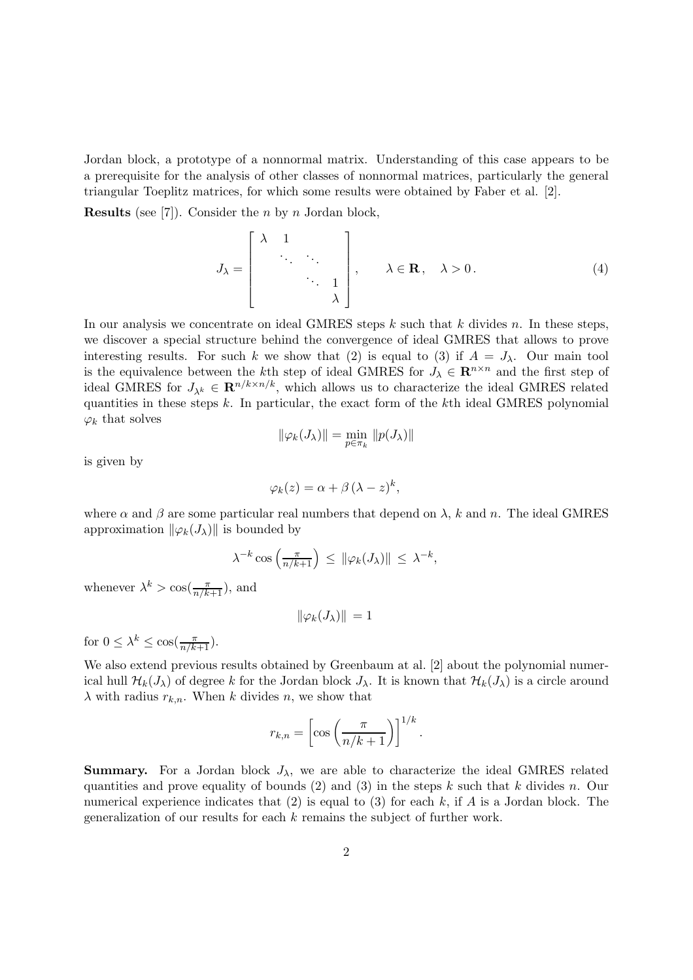Jordan block, a prototype of a nonnormal matrix. Understanding of this case appears to be a prerequisite for the analysis of other classes of nonnormal matrices, particularly the general triangular Toeplitz matrices, for which some results were obtained by Faber et al. [2].

**Results** (see [7]). Consider the *n* by *n* Jordan block,

$$
J_{\lambda} = \begin{bmatrix} \lambda & 1 & & \\ & \ddots & \ddots & \\ & & \ddots & 1 \\ & & & \lambda \end{bmatrix}, \quad \lambda \in \mathbf{R}, \quad \lambda > 0.
$$
 (4)

In our analysis we concentrate on ideal GMRES steps  $k$  such that  $k$  divides  $n$ . In these steps, we discover a special structure behind the convergence of ideal GMRES that allows to prove interesting results. For such k we show that (2) is equal to (3) if  $A = J_{\lambda}$ . Our main tool is the equivalence between the kth step of ideal GMRES for  $J_{\lambda} \in \mathbb{R}^{n \times n}$  and the first step of ideal GMRES for  $J_{\lambda^k} \in \mathbf{R}^{n/k \times n/k}$ , which allows us to characterize the ideal GMRES related quantities in these steps  $k$ . In particular, the exact form of the  $k$ th ideal GMRES polynomial  $\varphi_k$  that solves

$$
\|\varphi_k(J_\lambda)\| = \min_{p \in \pi_k} \|p(J_\lambda)\|
$$

is given by

$$
\varphi_k(z) = \alpha + \beta (\lambda - z)^k,
$$

where  $\alpha$  and  $\beta$  are some particular real numbers that depend on  $\lambda$ , k and n. The ideal GMRES approximation  $\|\varphi_k(J_\lambda)\|$  is bounded by

$$
\lambda^{-k}\cos\left(\frac{\pi}{n/k+1}\right) \leq \|\varphi_k(J_\lambda)\| \leq \lambda^{-k},
$$

whenever  $\lambda^k > \cos(\frac{\pi}{n/k+1})$ , and

$$
\|\varphi_k(J_\lambda)\| = 1
$$

for  $0 \leq \lambda^k \leq \cos(\frac{\pi}{n/k+1})$ .

We also extend previous results obtained by Greenbaum at al. [2] about the polynomial numerical hull  $\mathcal{H}_k(J_\lambda)$  of degree k for the Jordan block  $J_\lambda$ . It is known that  $\mathcal{H}_k(J_\lambda)$  is a circle around  $\lambda$  with radius  $r_{k,n}$ . When k divides n, we show that

$$
r_{k,n} = \left[\cos\left(\frac{\pi}{n/k+1}\right)\right]^{1/k}
$$

.

**Summary.** For a Jordan block  $J_{\lambda}$ , we are able to characterize the ideal GMRES related quantities and prove equality of bounds (2) and (3) in the steps k such that k divides n. Our numerical experience indicates that  $(2)$  is equal to  $(3)$  for each k, if A is a Jordan block. The generalization of our results for each k remains the subject of further work.